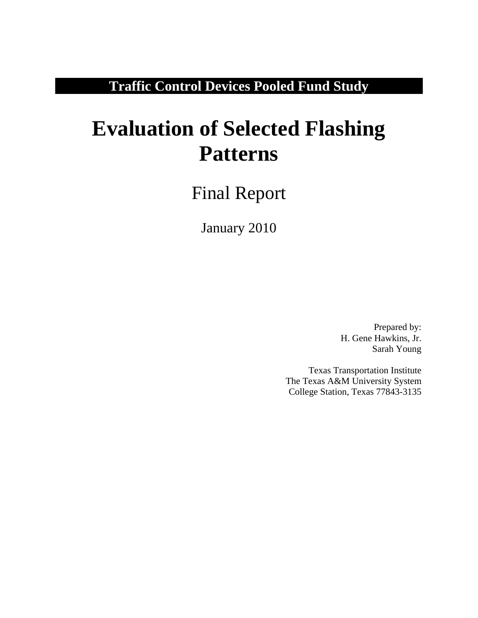**Traffic Control Devices Pooled Fund Study** 

# **Evaluation of Selected Flashing Patterns**

Final Report

January 2010

Prepared by: H. Gene Hawkins, Jr. Sarah Young

Texas Transportation Institute The Texas A&M University System College Station, Texas 77843-3135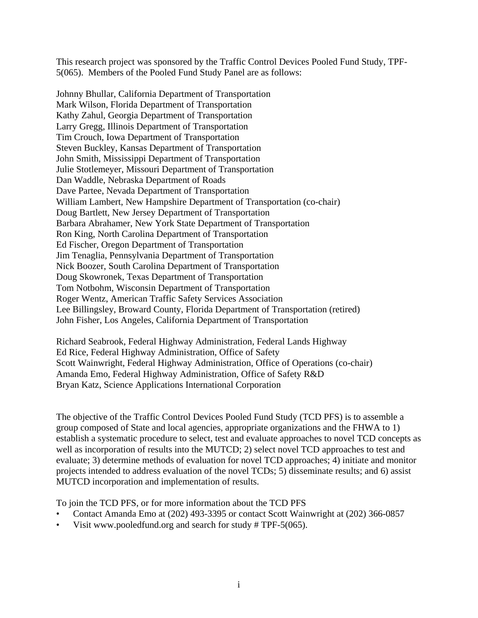This research project was sponsored by the Traffic Control Devices Pooled Fund Study, TPF-5(065). Members of the Pooled Fund Study Panel are as follows:

Johnny Bhullar, California Department of Transportation Mark Wilson, Florida Department of Transportation Kathy Zahul, Georgia Department of Transportation Larry Gregg, Illinois Department of Transportation Tim Crouch, Iowa Department of Transportation Steven Buckley, Kansas Department of Transportation John Smith, Mississippi Department of Transportation Julie Stotlemeyer, Missouri Department of Transportation Dan Waddle, Nebraska Department of Roads Dave Partee, Nevada Department of Transportation William Lambert, New Hampshire Department of Transportation (co-chair) Doug Bartlett, New Jersey Department of Transportation Barbara Abrahamer, New York State Department of Transportation Ron King, North Carolina Department of Transportation Ed Fischer, Oregon Department of Transportation Jim Tenaglia, Pennsylvania Department of Transportation Nick Boozer, South Carolina Department of Transportation Doug Skowronek, Texas Department of Transportation Tom Notbohm, Wisconsin Department of Transportation Roger Wentz, American Traffic Safety Services Association Lee Billingsley, Broward County, Florida Department of Transportation (retired) John Fisher, Los Angeles, California Department of Transportation

Richard Seabrook, Federal Highway Administration, Federal Lands Highway Ed Rice, Federal Highway Administration, Office of Safety Scott Wainwright, Federal Highway Administration, Office of Operations (co-chair) Amanda Emo, Federal Highway Administration, Office of Safety R&D Bryan Katz, Science Applications International Corporation

The objective of the Traffic Control Devices Pooled Fund Study (TCD PFS) is to assemble a group composed of State and local agencies, appropriate organizations and the FHWA to 1) establish a systematic procedure to select, test and evaluate approaches to novel TCD concepts as well as incorporation of results into the MUTCD; 2) select novel TCD approaches to test and evaluate; 3) determine methods of evaluation for novel TCD approaches; 4) initiate and monitor projects intended to address evaluation of the novel TCDs; 5) disseminate results; and 6) assist MUTCD incorporation and implementation of results.

To join the TCD PFS, or for more information about the TCD PFS

- Contact Amanda Emo at (202) 493-3395 or contact Scott Wainwright at (202) 366-0857
- Visit www.pooledfund.org and search for study # TPF-5(065).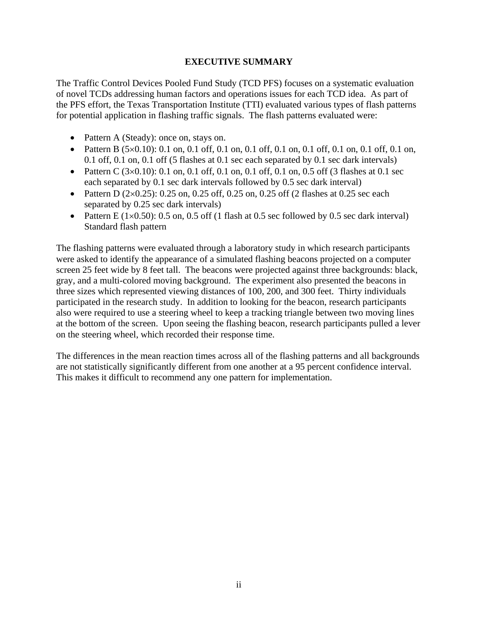#### **EXECUTIVE SUMMARY**

<span id="page-2-0"></span>The Traffic Control Devices Pooled Fund Study (TCD PFS) focuses on a systematic evaluation of novel TCDs addressing human factors and operations issues for each TCD idea. As part of the PFS effort, the Texas Transportation Institute (TTI) evaluated various types of flash patterns for potential application in flashing traffic signals. The flash patterns evaluated were:

- Pattern A (Steady): once on, stays on.
- Pattern B  $(5 \times 0.10)$ : 0.1 on, 0.1 off, 0.1 on, 0.1 off, 0.1 on, 0.1 off, 0.1 on, 0.1 off, 0.1 on, 0.1 off, 0.1 on, 0.1 off (5 flashes at 0.1 sec each separated by 0.1 sec dark intervals)
- Pattern C  $(3\times0.10)$ : 0.1 on, 0.1 off, 0.1 on, 0.1 off, 0.1 on, 0.5 off (3 flashes at 0.1 sec each separated by 0.1 sec dark intervals followed by 0.5 sec dark interval)
- Pattern D  $(2\times0.25)$ : 0.25 on, 0.25 off, 0.25 on, 0.25 off (2 flashes at 0.25 sec each separated by 0.25 sec dark intervals)
- Pattern E ( $1\times0.50$ ): 0.5 on, 0.5 off (1 flash at 0.5 sec followed by 0.5 sec dark interval) Standard flash pattern

The flashing patterns were evaluated through a laboratory study in which research participants were asked to identify the appearance of a simulated flashing beacons projected on a computer screen 25 feet wide by 8 feet tall. The beacons were projected against three backgrounds: black, gray, and a multi-colored moving background. The experiment also presented the beacons in three sizes which represented viewing distances of 100, 200, and 300 feet. Thirty individuals participated in the research study. In addition to looking for the beacon, research participants also were required to use a steering wheel to keep a tracking triangle between two moving lines at the bottom of the screen. Upon seeing the flashing beacon, research participants pulled a lever on the steering wheel, which recorded their response time.

The differences in the mean reaction times across all of the flashing patterns and all backgrounds are not statistically significantly different from one another at a 95 percent confidence interval. This makes it difficult to recommend any one pattern for implementation.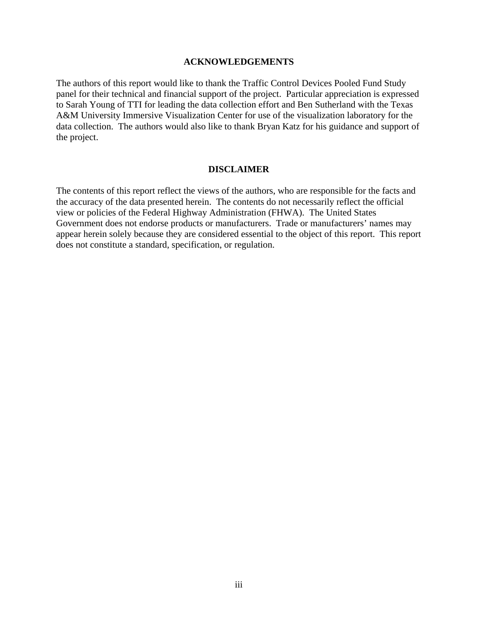#### **ACKNOWLEDGEMENTS**

<span id="page-3-0"></span>The authors of this report would like to thank the Traffic Control Devices Pooled Fund Study panel for their technical and financial support of the project. Particular appreciation is expressed to Sarah Young of TTI for leading the data collection effort and Ben Sutherland with the Texas A&M University Immersive Visualization Center for use of the visualization laboratory for the data collection. The authors would also like to thank Bryan Katz for his guidance and support of the project.

#### **DISCLAIMER**

<span id="page-3-1"></span>The contents of this report reflect the views of the authors, who are responsible for the facts and the accuracy of the data presented herein. The contents do not necessarily reflect the official view or policies of the Federal Highway Administration (FHWA). The United States Government does not endorse products or manufacturers. Trade or manufacturers' names may appear herein solely because they are considered essential to the object of this report. This report does not constitute a standard, specification, or regulation.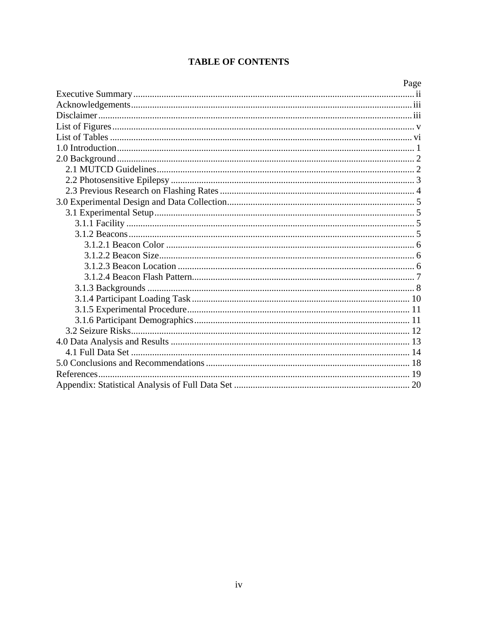## **TABLE OF CONTENTS**

| Page |
|------|
|      |
|      |
|      |
|      |
|      |
|      |
|      |
|      |
|      |
|      |
|      |
|      |
|      |
|      |
|      |
|      |
|      |
|      |
|      |
|      |
|      |
|      |
|      |
|      |
|      |
|      |
|      |
|      |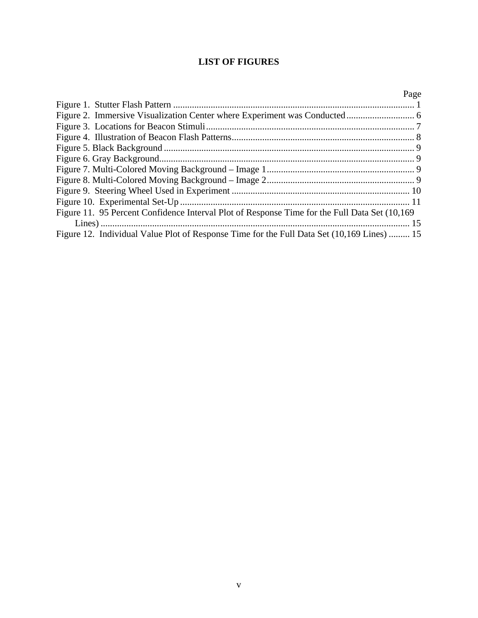## **LIST OF FIGURES**

<span id="page-5-0"></span>

|                                                                                               | Page |
|-----------------------------------------------------------------------------------------------|------|
|                                                                                               |      |
|                                                                                               |      |
|                                                                                               |      |
|                                                                                               |      |
|                                                                                               |      |
|                                                                                               |      |
|                                                                                               |      |
|                                                                                               |      |
|                                                                                               |      |
|                                                                                               |      |
| Figure 11. 95 Percent Confidence Interval Plot of Response Time for the Full Data Set (10,169 |      |
|                                                                                               |      |
| Figure 12. Individual Value Plot of Response Time for the Full Data Set (10,169 Lines)  15    |      |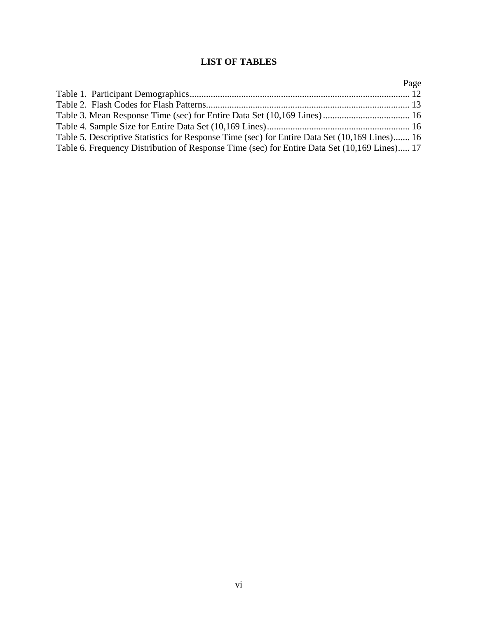## **LIST OF TABLES**

<span id="page-6-0"></span>

|                                                                                               | Page |
|-----------------------------------------------------------------------------------------------|------|
|                                                                                               |      |
|                                                                                               |      |
|                                                                                               |      |
|                                                                                               |      |
| Table 5. Descriptive Statistics for Response Time (sec) for Entire Data Set (10,169 Lines) 16 |      |
| Table 6. Frequency Distribution of Response Time (sec) for Entire Data Set (10,169 Lines) 17  |      |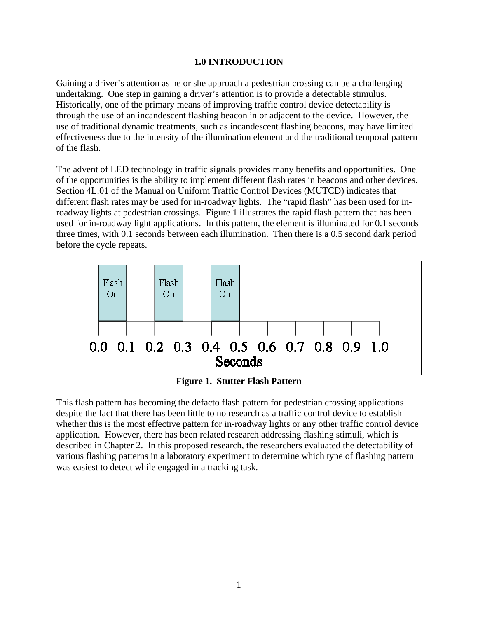#### **1.0 INTRODUCTION**

<span id="page-7-0"></span>Gaining a driver's attention as he or she approach a pedestrian crossing can be a challenging undertaking. One step in gaining a driver's attention is to provide a detectable stimulus. Historically, one of the primary means of improving traffic control device detectability is through the use of an incandescent flashing beacon in or adjacent to the device. However, the use of traditional dynamic treatments, such as incandescent flashing beacons, may have limited effectiveness due to the intensity of the illumination element and the traditional temporal pattern of the flash.

The advent of LED technology in traffic signals provides many benefits and opportunities. One of the opportunities is the ability to implement different flash rates in beacons and other devices. Section 4L.01 of the Manual on Uniform Traffic Control Devices (MUTCD) indicates that different flash rates may be used for in-roadway lights. The "rapid flash" has been used for inroadway lights at pedestrian crossings. Figure 1 illustrates the rapid flash pattern that has been used for in-roadway light applications. In this pattern, the element is illuminated for 0.1 seconds three times, with 0.1 seconds between each illumination. Then there is a 0.5 second dark period before the cycle repeats.



**Figure 1. Stutter Flash Pattern** 

<span id="page-7-1"></span>This flash pattern has becoming the defacto flash pattern for pedestrian crossing applications despite the fact that there has been little to no research as a traffic control device to establish whether this is the most effective pattern for in-roadway lights or any other traffic control device application. However, there has been related research addressing flashing stimuli, which is described in Chapter 2. In this proposed research, the researchers evaluated the detectability of various flashing patterns in a laboratory experiment to determine which type of flashing pattern was easiest to detect while engaged in a tracking task.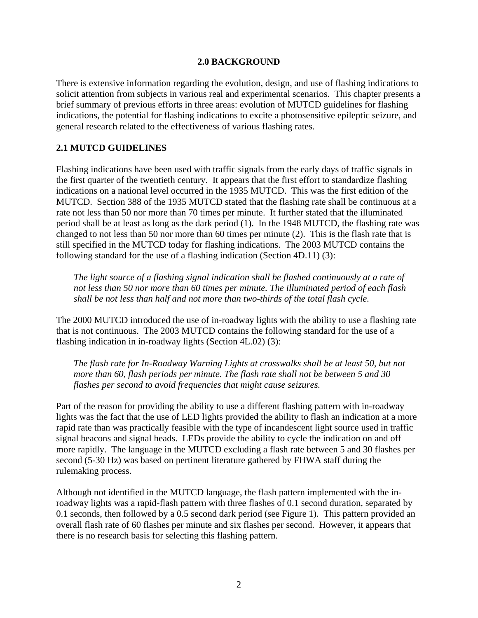#### **2.0 BACKGROUND**

<span id="page-8-0"></span>There is extensive information regarding the evolution, design, and use of flashing indications to solicit attention from subjects in various real and experimental scenarios. This chapter presents a brief summary of previous efforts in three areas: evolution of MUTCD guidelines for flashing indications, the potential for flashing indications to excite a photosensitive epileptic seizure, and general research related to the effectiveness of various flashing rates.

#### <span id="page-8-1"></span>**2.1 MUTCD GUIDELINES**

Flashing indications have been used with traffic signals from the early days of traffic signals in the first quarter of the twentieth century. It appears that the first effort to standardize flashing indications on a national level occurred in the 1935 MUTCD. This was the first edition of the MUTCD. Section 388 of the 1935 MUTCD stated that the flashing rate shall be continuous at a rate not less than 50 nor more than 70 times per minute. It further stated that the illuminated period shall be at least as long as the dark period (1). In the 1948 MUTCD, the flashing rate was changed to not less than 50 nor more than 60 times per minute (2). This is the flash rate that is still specified in the MUTCD today for flashing indications. The 2003 MUTCD contains the following standard for the use of a flashing indication (Section 4D.11) (3):

*The light source of a flashing signal indication shall be flashed continuously at a rate of not less than 50 nor more than 60 times per minute. The illuminated period of each flash shall be not less than half and not more than two-thirds of the total flash cycle.* 

The 2000 MUTCD introduced the use of in-roadway lights with the ability to use a flashing rate that is not continuous. The 2003 MUTCD contains the following standard for the use of a flashing indication in in-roadway lights (Section 4L.02) (3):

*The flash rate for In-Roadway Warning Lights at crosswalks shall be at least 50, but not more than 60, flash periods per minute. The flash rate shall not be between 5 and 30 flashes per second to avoid frequencies that might cause seizures.* 

Part of the reason for providing the ability to use a different flashing pattern with in-roadway lights was the fact that the use of LED lights provided the ability to flash an indication at a more rapid rate than was practically feasible with the type of incandescent light source used in traffic signal beacons and signal heads. LEDs provide the ability to cycle the indication on and off more rapidly. The language in the MUTCD excluding a flash rate between 5 and 30 flashes per second (5-30 Hz) was based on pertinent literature gathered by FHWA staff during the rulemaking process.

Although not identified in the MUTCD language, the flash pattern implemented with the inroadway lights was a rapid-flash pattern with three flashes of 0.1 second duration, separated by 0.1 seconds, then followed by a 0.5 second dark period (see Figure 1). This pattern provided an overall flash rate of 60 flashes per minute and six flashes per second. However, it appears that there is no research basis for selecting this flashing pattern.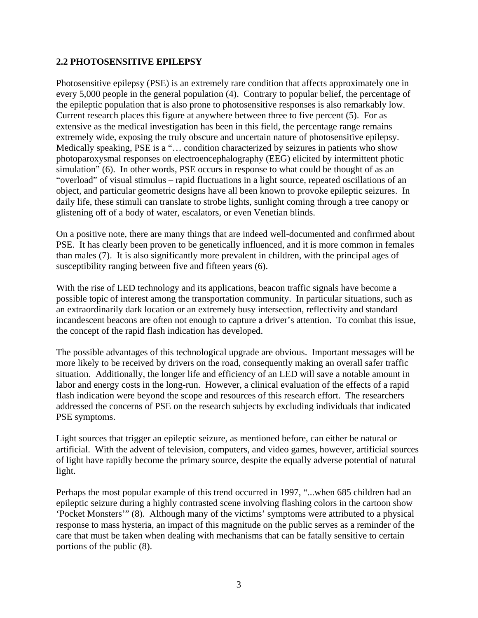#### <span id="page-9-0"></span>**2.2 PHOTOSENSITIVE EPILEPSY**

Photosensitive epilepsy (PSE) is an extremely rare condition that affects approximately one in every 5,000 people in the general population (4). Contrary to popular belief, the percentage of the epileptic population that is also prone to photosensitive responses is also remarkably low. Current research places this figure at anywhere between three to five percent (5). For as extensive as the medical investigation has been in this field, the percentage range remains extremely wide, exposing the truly obscure and uncertain nature of photosensitive epilepsy. Medically speaking, PSE is a "… condition characterized by seizures in patients who show photoparoxysmal responses on electroencephalography (EEG) elicited by intermittent photic simulation" (6). In other words, PSE occurs in response to what could be thought of as an "overload" of visual stimulus – rapid fluctuations in a light source, repeated oscillations of an object, and particular geometric designs have all been known to provoke epileptic seizures. In daily life, these stimuli can translate to strobe lights, sunlight coming through a tree canopy or glistening off of a body of water, escalators, or even Venetian blinds.

On a positive note, there are many things that are indeed well-documented and confirmed about PSE. It has clearly been proven to be genetically influenced, and it is more common in females than males (7). It is also significantly more prevalent in children, with the principal ages of susceptibility ranging between five and fifteen years (6).

With the rise of LED technology and its applications, beacon traffic signals have become a possible topic of interest among the transportation community. In particular situations, such as an extraordinarily dark location or an extremely busy intersection, reflectivity and standard incandescent beacons are often not enough to capture a driver's attention. To combat this issue, the concept of the rapid flash indication has developed.

The possible advantages of this technological upgrade are obvious. Important messages will be more likely to be received by drivers on the road, consequently making an overall safer traffic situation. Additionally, the longer life and efficiency of an LED will save a notable amount in labor and energy costs in the long-run. However, a clinical evaluation of the effects of a rapid flash indication were beyond the scope and resources of this research effort. The researchers addressed the concerns of PSE on the research subjects by excluding individuals that indicated PSE symptoms.

Light sources that trigger an epileptic seizure, as mentioned before, can either be natural or artificial. With the advent of television, computers, and video games, however, artificial sources of light have rapidly become the primary source, despite the equally adverse potential of natural light.

Perhaps the most popular example of this trend occurred in 1997, "...when 685 children had an epileptic seizure during a highly contrasted scene involving flashing colors in the cartoon show 'Pocket Monsters'" (8). Although many of the victims' symptoms were attributed to a physical response to mass hysteria, an impact of this magnitude on the public serves as a reminder of the care that must be taken when dealing with mechanisms that can be fatally sensitive to certain portions of the public (8).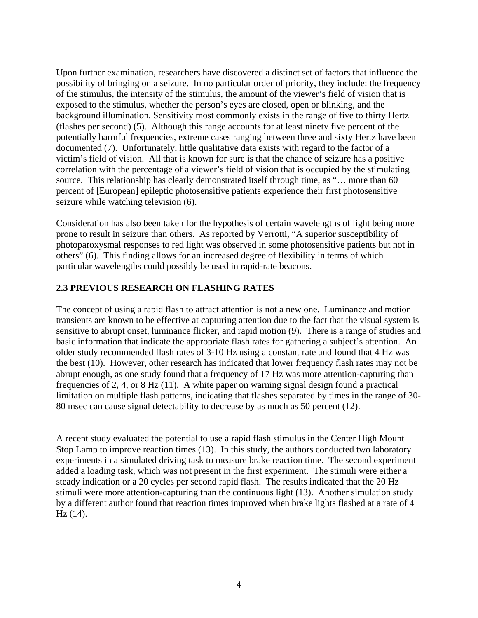Upon further examination, researchers have discovered a distinct set of factors that influence the possibility of bringing on a seizure. In no particular order of priority, they include: the frequency of the stimulus, the intensity of the stimulus, the amount of the viewer's field of vision that is exposed to the stimulus, whether the person's eyes are closed, open or blinking, and the background illumination. Sensitivity most commonly exists in the range of five to thirty Hertz (flashes per second) (5). Although this range accounts for at least ninety five percent of the potentially harmful frequencies, extreme cases ranging between three and sixty Hertz have been documented (7). Unfortunately, little qualitative data exists with regard to the factor of a victim's field of vision. All that is known for sure is that the chance of seizure has a positive correlation with the percentage of a viewer's field of vision that is occupied by the stimulating source. This relationship has clearly demonstrated itself through time, as "... more than 60 percent of [European] epileptic photosensitive patients experience their first photosensitive seizure while watching television (6).

Consideration has also been taken for the hypothesis of certain wavelengths of light being more prone to result in seizure than others. As reported by Verrotti, "A superior susceptibility of photoparoxysmal responses to red light was observed in some photosensitive patients but not in others" (6). This finding allows for an increased degree of flexibility in terms of which particular wavelengths could possibly be used in rapid-rate beacons.

#### <span id="page-10-0"></span>**2.3 PREVIOUS RESEARCH ON FLASHING RATES**

The concept of using a rapid flash to attract attention is not a new one. Luminance and motion transients are known to be effective at capturing attention due to the fact that the visual system is sensitive to abrupt onset, luminance flicker, and rapid motion (9). There is a range of studies and basic information that indicate the appropriate flash rates for gathering a subject's attention. An older study recommended flash rates of 3-10 Hz using a constant rate and found that 4 Hz was the best (10). However, other research has indicated that lower frequency flash rates may not be abrupt enough, as one study found that a frequency of 17 Hz was more attention-capturing than frequencies of 2, 4, or 8 Hz (11). A white paper on warning signal design found a practical limitation on multiple flash patterns, indicating that flashes separated by times in the range of 30- 80 msec can cause signal detectability to decrease by as much as 50 percent (12).

A recent study evaluated the potential to use a rapid flash stimulus in the Center High Mount Stop Lamp to improve reaction times (13). In this study, the authors conducted two laboratory experiments in a simulated driving task to measure brake reaction time. The second experiment added a loading task, which was not present in the first experiment. The stimuli were either a steady indication or a 20 cycles per second rapid flash. The results indicated that the 20 Hz stimuli were more attention-capturing than the continuous light (13). Another simulation study by a different author found that reaction times improved when brake lights flashed at a rate of 4 Hz (14).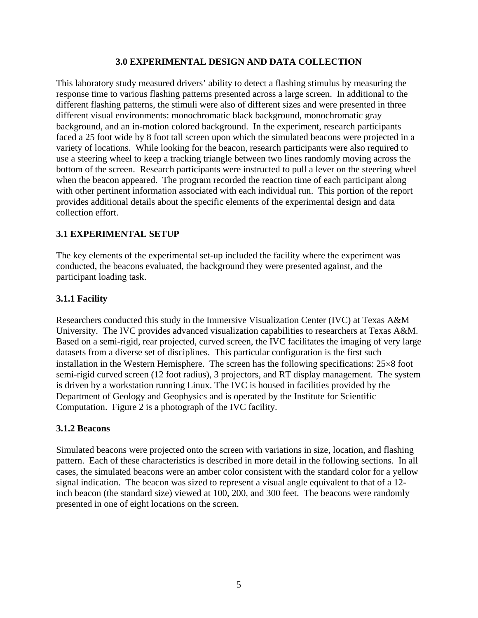#### **3.0 EXPERIMENTAL DESIGN AND DATA COLLECTION**

<span id="page-11-0"></span>This laboratory study measured drivers' ability to detect a flashing stimulus by measuring the response time to various flashing patterns presented across a large screen. In additional to the different flashing patterns, the stimuli were also of different sizes and were presented in three different visual environments: monochromatic black background, monochromatic gray background, and an in-motion colored background. In the experiment, research participants faced a 25 foot wide by 8 foot tall screen upon which the simulated beacons were projected in a variety of locations. While looking for the beacon, research participants were also required to use a steering wheel to keep a tracking triangle between two lines randomly moving across the bottom of the screen. Research participants were instructed to pull a lever on the steering wheel when the beacon appeared. The program recorded the reaction time of each participant along with other pertinent information associated with each individual run. This portion of the report provides additional details about the specific elements of the experimental design and data collection effort.

#### <span id="page-11-1"></span>**3.1 EXPERIMENTAL SETUP**

The key elements of the experimental set-up included the facility where the experiment was conducted, the beacons evaluated, the background they were presented against, and the participant loading task.

#### <span id="page-11-2"></span>**3.1.1 Facility**

Researchers conducted this study in the Immersive Visualization Center (IVC) at Texas A&M University. The IVC provides advanced visualization capabilities to researchers at Texas A&M. Based on a semi-rigid, rear projected, curved screen, the IVC facilitates the imaging of very large datasets from a diverse set of disciplines. This particular configuration is the first such installation in the Western Hemisphere. The screen has the following specifications:  $25\times8$  foot semi-rigid curved screen (12 foot radius), 3 projectors, and RT display management. The system is driven by a workstation running Linux. The IVC is housed in facilities provided by the Department of Geology and Geophysics and is operated by the Institute for Scientific Computation. [Figure 2](#page-12-3) is a photograph of the IVC facility.

#### <span id="page-11-3"></span>**3.1.2 Beacons**

Simulated beacons were projected onto the screen with variations in size, location, and flashing pattern. Each of these characteristics is described in more detail in the following sections. In all cases, the simulated beacons were an amber color consistent with the standard color for a yellow signal indication. The beacon was sized to represent a visual angle equivalent to that of a 12 inch beacon (the standard size) viewed at 100, 200, and 300 feet. The beacons were randomly presented in one of eight locations on the screen.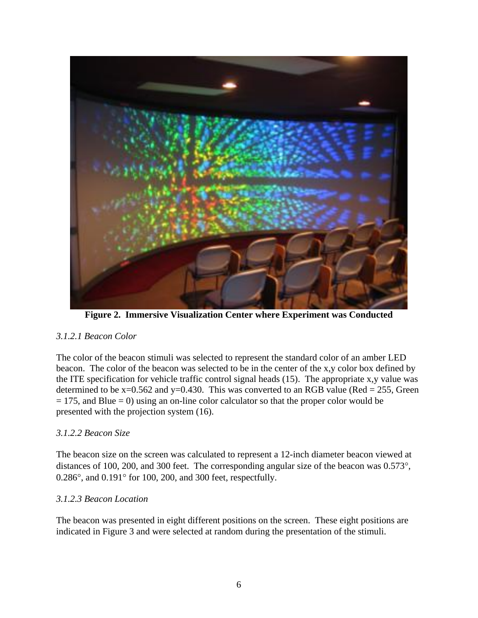

**[Figure 2. Immersive Visualization Center where Experiment was Conducted](http://ivc.tamu.edu/aboutimg.html)** 

## <span id="page-12-3"></span><span id="page-12-0"></span>*3.1.2.1 Beacon Color*

The color of the beacon stimuli was selected to represent the standard color of an amber LED beacon. The color of the beacon was selected to be in the center of the x,y color box defined by the ITE specification for vehicle traffic control signal heads (15). The appropriate x,y value was determined to be  $x=0.562$  and  $y=0.430$ . This was converted to an RGB value (Red = 255, Green  $= 175$ , and Blue  $= 0$ ) using an on-line color calculator so that the proper color would be presented with the projection system (16).

#### <span id="page-12-1"></span>*3.1.2.2 Beacon Size*

The beacon size on the screen was calculated to represent a 12-inch diameter beacon viewed at distances of 100, 200, and 300 feet. The corresponding angular size of the beacon was 0.573°,  $0.286^{\circ}$ , and  $0.191^{\circ}$  for 100, 200, and 300 feet, respectfully.

#### <span id="page-12-2"></span>*3.1.2.3 Beacon Location*

The beacon was presented in eight different positions on the screen. These eight positions are indicated in [Figure 3](#page-13-1) and were selected at random during the presentation of the stimuli.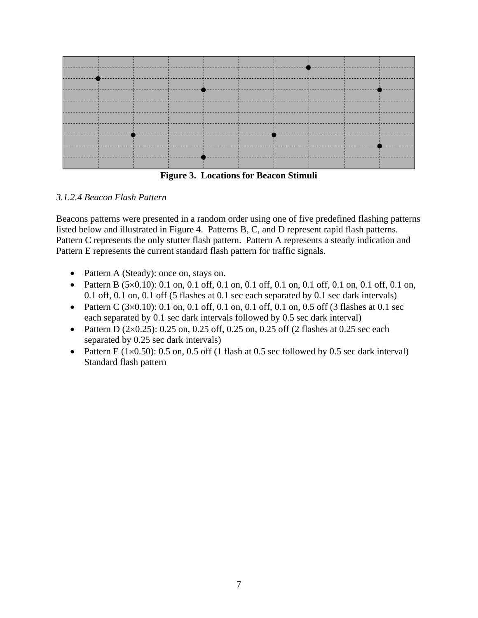

**Figure 3. Locations for Beacon Stimuli** 

## <span id="page-13-1"></span><span id="page-13-0"></span>*3.1.2.4 Beacon Flash Pattern*

Beacons patterns were presented in a random order using one of five predefined flashing patterns listed below and illustrated in [Figure 4](#page-14-1). Patterns B, C, and D represent rapid flash patterns. Pattern C represents the only stutter flash pattern. Pattern A represents a steady indication and Pattern E represents the current standard flash pattern for traffic signals.

- Pattern A (Steady): once on, stays on.
- Pattern B  $(5\times0.10)$ : 0.1 on, 0.1 off, 0.1 on, 0.1 off, 0.1 on, 0.1 off, 0.1 on, 0.1 off, 0.1 on, 0.1 off, 0.1 on, 0.1 off (5 flashes at 0.1 sec each separated by 0.1 sec dark intervals)
- Pattern C  $(3\times0.10)$ : 0.1 on, 0.1 off, 0.1 on, 0.1 off, 0.1 on, 0.5 off (3 flashes at 0.1 sec each separated by 0.1 sec dark intervals followed by 0.5 sec dark interval)
- Pattern D  $(2\times0.25)$ : 0.25 on, 0.25 off, 0.25 on, 0.25 off (2 flashes at 0.25 sec each separated by 0.25 sec dark intervals)
- Pattern E ( $1\times0.50$ ): 0.5 on, 0.5 off (1 flash at 0.5 sec followed by 0.5 sec dark interval) Standard flash pattern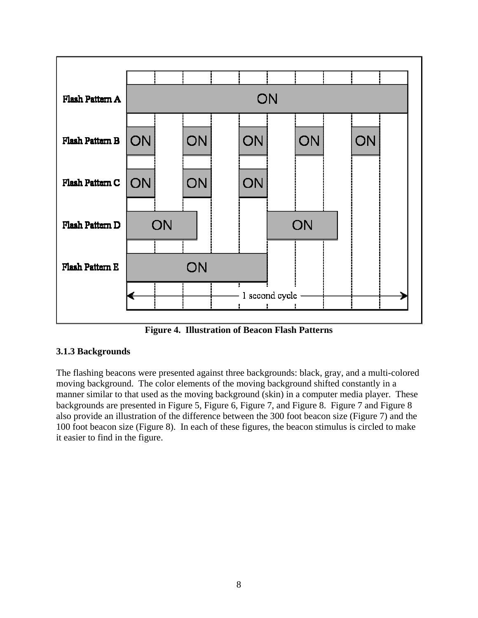

**Figure 4. Illustration of Beacon Flash Patterns** 

## <span id="page-14-1"></span><span id="page-14-0"></span>**3.1.3 Backgrounds**

The flashing beacons were presented against three backgrounds: black, gray, and a multi-colored moving background. The color elements of the moving background shifted constantly in a manner similar to that used as the moving background (skin) in a computer media player. These backgrounds are presented in [Figure 5,](#page-15-0) [Figure 6,](#page-15-1) [Figure 7](#page-15-2), and [Figure 8.](#page-15-3) [Figure 7](#page-15-2) and [Figure 8](#page-15-3) also provide an illustration of the difference between the 300 foot beacon size [\(Figure 7\)](#page-15-2) and the 100 foot beacon size ([Figure 8](#page-15-3)). In each of these figures, the beacon stimulus is circled to make it easier to find in the figure.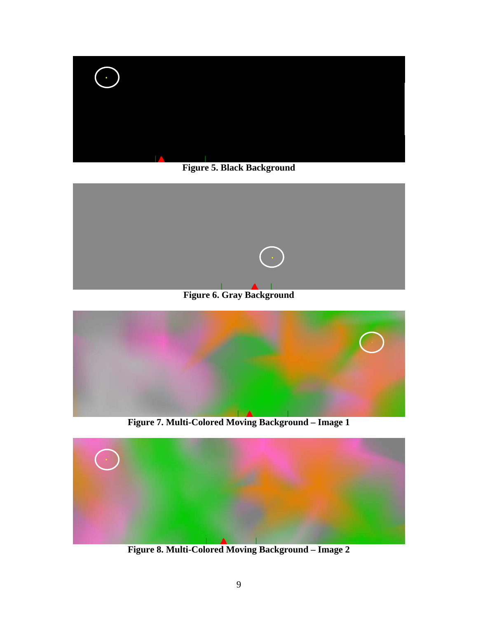

**Figure 5. Black Background** 

<span id="page-15-0"></span>

**Figure 6. Gray Background** 

<span id="page-15-1"></span>

**Figure 7. Multi-Colored Moving Background – Image 1** 

<span id="page-15-3"></span><span id="page-15-2"></span>

**Figure 8. Multi-Colored Moving Background – Image 2**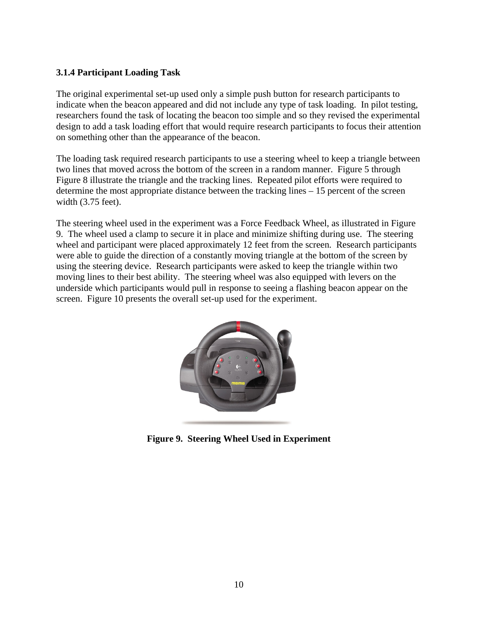#### <span id="page-16-0"></span>**3.1.4 Participant Loading Task**

The original experimental set-up used only a simple push button for research participants to indicate when the beacon appeared and did not include any type of task loading. In pilot testing, researchers found the task of locating the beacon too simple and so they revised the experimental design to add a task loading effort that would require research participants to focus their attention on something other than the appearance of the beacon.

The loading task required research participants to use a steering wheel to keep a triangle between two lines that moved across the bottom of the screen in a random manner. [Figure 5](#page-15-0) through [Figure 8](#page-15-3) illustrate the triangle and the tracking lines. Repeated pilot efforts were required to determine the most appropriate distance between the tracking lines – 15 percent of the screen width (3.75 feet).

The steering wheel used in the experiment was a Force Feedback Wheel, as illustrated in [Figure](#page-16-1)  [9.](#page-16-1) The wheel used a clamp to secure it in place and minimize shifting during use. The steering wheel and participant were placed approximately 12 feet from the screen. Research participants were able to guide the direction of a constantly moving triangle at the bottom of the screen by using the steering device. Research participants were asked to keep the triangle within two moving lines to their best ability. The steering wheel was also equipped with levers on the underside which participants would pull in response to seeing a flashing beacon appear on the screen. [Figure 10](#page-17-2) presents the overall set-up used for the experiment.

<span id="page-16-1"></span>

**Figure 9. Steering Wheel Used in Experiment**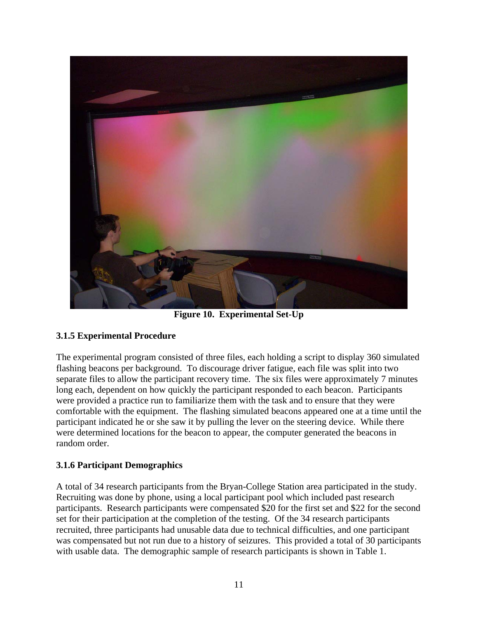

**Figure 10. Experimental Set-Up** 

## <span id="page-17-2"></span><span id="page-17-0"></span>**3.1.5 Experimental Procedure**

The experimental program consisted of three files, each holding a script to display 360 simulated flashing beacons per background. To discourage driver fatigue, each file was split into two separate files to allow the participant recovery time. The six files were approximately 7 minutes long each, dependent on how quickly the participant responded to each beacon. Participants were provided a practice run to familiarize them with the task and to ensure that they were comfortable with the equipment. The flashing simulated beacons appeared one at a time until the participant indicated he or she saw it by pulling the lever on the steering device. While there were determined locations for the beacon to appear, the computer generated the beacons in random order.

#### <span id="page-17-1"></span>**3.1.6 Participant Demographics**

A total of 34 research participants from the Bryan-College Station area participated in the study. Recruiting was done by phone, using a local participant pool which included past research participants. Research participants were compensated \$20 for the first set and \$22 for the second set for their participation at the completion of the testing. Of the 34 research participants recruited, three participants had unusable data due to technical difficulties, and one participant was compensated but not run due to a history of seizures. This provided a total of 30 participants with usable data. The demographic sample of research participants is shown in [Table 1](#page-18-1).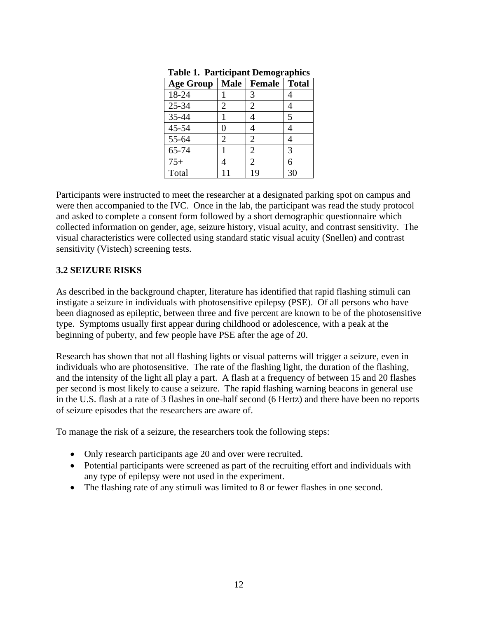| <b>Age Group</b> | <b>Male</b> | <b>Female</b>   Total |   |
|------------------|-------------|-----------------------|---|
| 18-24            |             | 3                     |   |
| $25 - 34$        | 2           | 2                     |   |
| 35-44            |             |                       | 5 |
| $45 - 54$        | 0           |                       |   |
| 55-64            | 2           | 2                     |   |
| 65-74            |             | 2                     | 3 |
| $75+$            |             | $\mathfrak{D}$        | 6 |
| Total            |             | 19                    |   |

**Table 1. Participant Demographics** 

<span id="page-18-1"></span>Participants were instructed to meet the researcher at a designated parking spot on campus and were then accompanied to the IVC. Once in the lab, the participant was read the study protocol and asked to complete a consent form followed by a short demographic questionnaire which collected information on gender, age, seizure history, visual acuity, and contrast sensitivity. The visual characteristics were collected using standard static visual acuity (Snellen) and contrast sensitivity (Vistech) screening tests.

#### <span id="page-18-0"></span>**3.2 SEIZURE RISKS**

As described in the background chapter, literature has identified that rapid flashing stimuli can instigate a seizure in individuals with photosensitive epilepsy (PSE). Of all persons who have been diagnosed as epileptic, between three and five percent are known to be of the photosensitive type. Symptoms usually first appear during childhood or adolescence, with a peak at the beginning of puberty, and few people have PSE after the age of 20.

Research has shown that not all flashing lights or visual patterns will trigger a seizure, even in individuals who are photosensitive. The rate of the flashing light, the duration of the flashing, and the intensity of the light all play a part. A flash at a frequency of between 15 and 20 flashes per second is most likely to cause a seizure. The rapid flashing warning beacons in general use in the U.S. flash at a rate of 3 flashes in one-half second (6 Hertz) and there have been no reports of seizure episodes that the researchers are aware of.

To manage the risk of a seizure, the researchers took the following steps:

- Only research participants age 20 and over were recruited.
- Potential participants were screened as part of the recruiting effort and individuals with any type of epilepsy were not used in the experiment.
- The flashing rate of any stimuli was limited to 8 or fewer flashes in one second.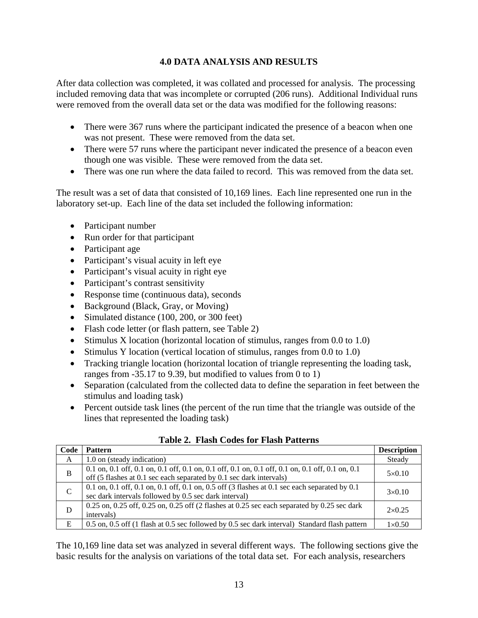## **4.0 DATA ANALYSIS AND RESULTS**

<span id="page-19-0"></span>After data collection was completed, it was collated and processed for analysis. The processing included removing data that was incomplete or corrupted (206 runs). Additional Individual runs were removed from the overall data set or the data was modified for the following reasons:

- There were 367 runs where the participant indicated the presence of a beacon when one was not present. These were removed from the data set.
- There were 57 runs where the participant never indicated the presence of a beacon even though one was visible. These were removed from the data set.
- There was one run where the data failed to record. This was removed from the data set.

The result was a set of data that consisted of 10,169 lines. Each line represented one run in the laboratory set-up. Each line of the data set included the following information:

- Participant number
- Run order for that participant
- Participant age
- Participant's visual acuity in left eye
- Participant's visual acuity in right eye
- Participant's contrast sensitivity
- Response time (continuous data), seconds
- Background (Black, Gray, or Moving)
- Simulated distance (100, 200, or 300 feet)
- Flash code letter (or flash pattern, see [Table 2\)](#page-19-1)
- $\bullet$  Stimulus X location (horizontal location of stimulus, ranges from 0.0 to 1.0)
- $\bullet$  Stimulus Y location (vertical location of stimulus, ranges from 0.0 to 1.0)
- Tracking triangle location (horizontal location of triangle representing the loading task, ranges from -35.17 to 9.39, but modified to values from 0 to 1)
- Separation (calculated from the collected data to define the separation in feet between the stimulus and loading task)
- Percent outside task lines (the percent of the run time that the triangle was outside of the lines that represented the loading task)

<span id="page-19-1"></span>

| Code        | <b>Pattern</b>                                                                                                                                                          | <b>Description</b> |
|-------------|-------------------------------------------------------------------------------------------------------------------------------------------------------------------------|--------------------|
| A           | 1.0 on (steady indication)                                                                                                                                              | Steady             |
| B           | 0.1 on, 0.1 off, 0.1 on, 0.1 off, 0.1 on, 0.1 off, 0.1 on, 0.1 off, 0.1 on, 0.1 off, 0.1 on, 0.1<br>off (5 flashes at 0.1 sec each separated by 0.1 sec dark intervals) | $5\times0.10$      |
| $\mathbf C$ | 0.1 on, 0.1 off, 0.1 on, 0.1 off, 0.1 on, 0.5 off (3 flashes at 0.1 sec each separated by 0.1<br>sec dark intervals followed by 0.5 sec dark interval)                  | $3\times0.10$      |
| D           | $0.25$ on, $0.25$ off, $0.25$ on, $0.25$ off (2 flashes at 0.25 sec each separated by 0.25 sec dark<br>intervals)                                                       | $2\times 0.25$     |
| E           | 0.5 on, 0.5 off (1 flash at 0.5 sec followed by 0.5 sec dark interval) Standard flash pattern                                                                           | $1\times 0.50$     |

**Table 2. Flash Codes for Flash Patterns** 

The 10,169 line data set was analyzed in several different ways. The following sections give the basic results for the analysis on variations of the total data set. For each analysis, researchers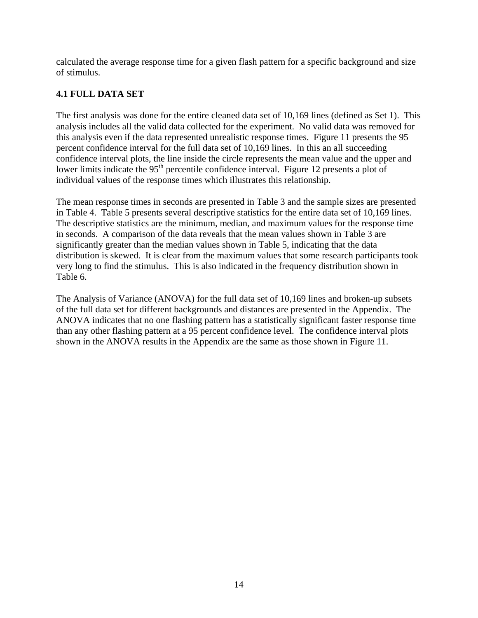calculated the average response time for a given flash pattern for a specific background and size of stimulus.

## <span id="page-20-0"></span>**4.1 FULL DATA SET**

The first analysis was done for the entire cleaned data set of 10,169 lines (defined as Set 1). This analysis includes all the valid data collected for the experiment. No valid data was removed for this analysis even if the data represented unrealistic response times. [Figure 11](#page-21-0) presents the 95 percent confidence interval for the full data set of 10,169 lines. In this an all succeeding confidence interval plots, the line inside the circle represents the mean value and the upper and lower limits indicate the 95<sup>th</sup> percentile confidence interval. [Figure 12](#page-21-1) presents a plot of individual values of the response times which illustrates this relationship.

The mean response times in seconds are presented in [Table 3](#page-22-0) and the sample sizes are presented in [Table 4.](#page-22-1) [Table 5](#page-22-2) presents several descriptive statistics for the entire data set of 10,169 lines. The descriptive statistics are the minimum, median, and maximum values for the response time in seconds. A comparison of the data reveals that the mean values shown in [Table 3](#page-22-0) are significantly greater than the median values shown in [Table 5,](#page-22-2) indicating that the data distribution is skewed. It is clear from the maximum values that some research participants took very long to find the stimulus. This is also indicated in the frequency distribution shown in [Table 6](#page-23-0).

The Analysis of Variance (ANOVA) for the full data set of 10,169 lines and broken-up subsets of the full data set for different backgrounds and distances are presented in the Appendix. The ANOVA indicates that no one flashing pattern has a statistically significant faster response time than any other flashing pattern at a 95 percent confidence level. The confidence interval plots shown in the ANOVA results in the Appendix are the same as those shown in [Figure 11.](#page-21-0)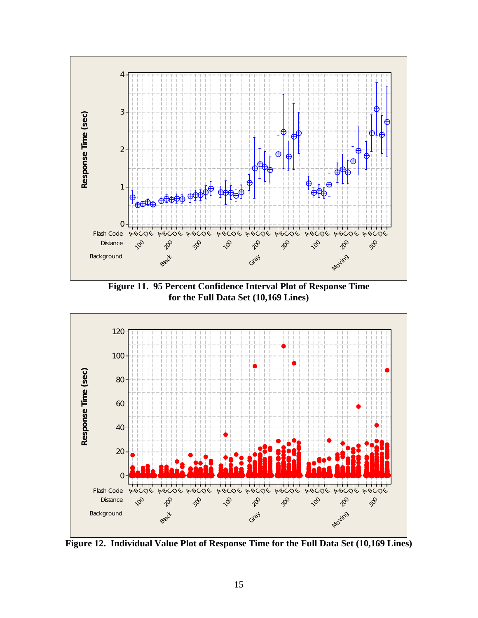

**Figure 11. 95 Percent Confidence Interval Plot of Response Time for the Full Data Set (10,169 Lines)** 

<span id="page-21-0"></span>

<span id="page-21-1"></span>**Figure 12. Individual Value Plot of Response Time for the Full Data Set (10,169 Lines)**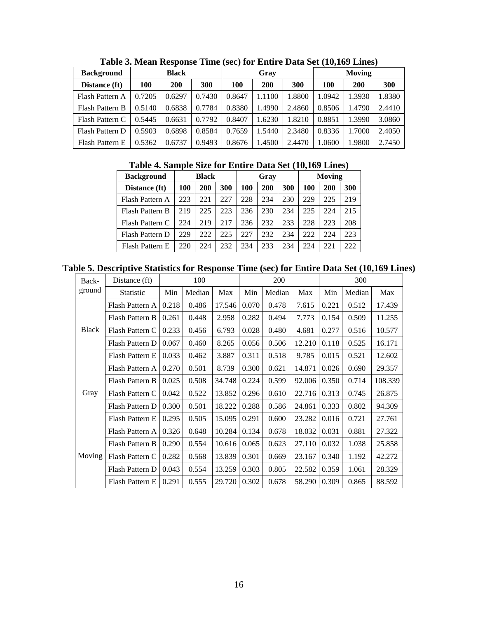<span id="page-22-0"></span>

| <b>Background</b> | <b>Black</b> |            |        | Gray   |        |        | <b>Moving</b> |            |        |
|-------------------|--------------|------------|--------|--------|--------|--------|---------------|------------|--------|
| Distance (ft)     | 100          | <b>200</b> | 300    | 100    | 200    | 300    | 100           | <b>200</b> | 300    |
| Flash Pattern A   | 0.7205       | 0.6297     | 0.7430 | 0.8647 | 1.1100 | .8800  | 1.0942        | 1.3930     | 1.8380 |
| Flash Pattern B   | 0.5140       | 0.6838     | 0.7784 | 0.8380 | 1.4990 | 2.4860 | 0.8506        | 1.4790     | 2.4410 |
| Flash Pattern C   | 0.5445       | 0.6631     | 0.7792 | 0.8407 | 1.6230 | 1.8210 | 0.8851        | 1.3990     | 3.0860 |
| Flash Pattern D   | 0.5903       | 0.6898     | 0.8584 | 0.7659 | 1.5440 | 2.3480 | 0.8336        | 1.7000     | 2.4050 |
| Flash Pattern E   | 0.5362       | 0.6737     | 0.9493 | 0.8676 | 1.4500 | 2.4470 | 1.0600        | 1.9800     | 2.7450 |

**Table 3. Mean Response Time (sec) for Entire Data Set (10,169 Lines)** 

## **Table 4. Sample Size for Entire Data Set (10,169 Lines)**

<span id="page-22-1"></span>

| <b>Background</b> | <b>Black</b> |     |     |     | Gray |     | Moving |     |     |  |
|-------------------|--------------|-----|-----|-----|------|-----|--------|-----|-----|--|
| Distance (ft)     | 100          | 200 | 300 | 100 | 200  | 300 | 100    | 200 | 300 |  |
| Flash Pattern A   | 223          | 221 | 227 | 228 | 234  | 230 | 229    | 225 | 219 |  |
| Flash Pattern B   | 219          | 225 | 223 | 236 | 230  | 234 | 225    | 224 | 215 |  |
| Flash Pattern C   | 224          | 219 | 217 | 236 | 232  | 233 | 228    | 223 | 208 |  |
| Flash Pattern D   | 229          | 222 | 225 | 227 | 232  | 234 | 222    | 224 | 223 |  |
| Flash Pattern E   | 220          | 224 | 232 | 234 | 233  | 234 | 224    | 221 | 222 |  |

<span id="page-22-2"></span>**Table 5. Descriptive Statistics for Response Time (sec) for Entire Data Set (10,169 Lines)** 

| Back-         | Distance (ft)    | 100   |        |        | 200   |        |        | 300   |        |         |
|---------------|------------------|-------|--------|--------|-------|--------|--------|-------|--------|---------|
| ground        | <b>Statistic</b> | Min   | Median | Max    | Min   | Median | Max    | Min   | Median | Max     |
| <b>Black</b>  | Flash Pattern A  | 0.218 | 0.486  | 17.546 | 0.070 | 0.478  | 7.615  | 0.221 | 0.512  | 17.439  |
|               | Flash Pattern B  | 0.261 | 0.448  | 2.958  | 0.282 | 0.494  | 7.773  | 0.154 | 0.509  | 11.255  |
|               | Flash Pattern C  | 0.233 | 0.456  | 6.793  | 0.028 | 0.480  | 4.681  | 0.277 | 0.516  | 10.577  |
|               | Flash Pattern D  | 0.067 | 0.460  | 8.265  | 0.056 | 0.506  | 12.210 | 0.118 | 0.525  | 16.171  |
|               | Flash Pattern E  | 0.033 | 0.462  | 3.887  | 0.311 | 0.518  | 9.785  | 0.015 | 0.521  | 12.602  |
|               | Flash Pattern A  | 0.270 | 0.501  | 8.739  | 0.300 | 0.621  | 14.871 | 0.026 | 0.690  | 29.357  |
|               | Flash Pattern B  | 0.025 | 0.508  | 34.748 | 0.224 | 0.599  | 92.006 | 0.350 | 0.714  | 108.339 |
| Gray          | Flash Pattern C  | 0.042 | 0.522  | 13.852 | 0.296 | 0.610  | 22.716 | 0.313 | 0.745  | 26.875  |
|               | Flash Pattern D  | 0.300 | 0.501  | 18.222 | 0.288 | 0.586  | 24.861 | 0.333 | 0.802  | 94.309  |
|               | Flash Pattern E  | 0.295 | 0.505  | 15.095 | 0.291 | 0.600  | 23.282 | 0.016 | 0.721  | 27.761  |
|               | Flash Pattern A  | 0.326 | 0.648  | 10.284 | 0.134 | 0.678  | 18.032 | 0.031 | 0.881  | 27.322  |
|               | Flash Pattern B  | 0.290 | 0.554  | 10.616 | 0.065 | 0.623  | 27.110 | 0.032 | 1.038  | 25.858  |
| <b>Moving</b> | Flash Pattern C  | 0.282 | 0.568  | 13.839 | 0.301 | 0.669  | 23.167 | 0.340 | 1.192  | 42.272  |
|               | Flash Pattern D  | 0.043 | 0.554  | 13.259 | 0.303 | 0.805  | 22.582 | 0.359 | 1.061  | 28.329  |
|               | Flash Pattern E  | 0.291 | 0.555  | 29.720 | 0.302 | 0.678  | 58.290 | 0.309 | 0.865  | 88.592  |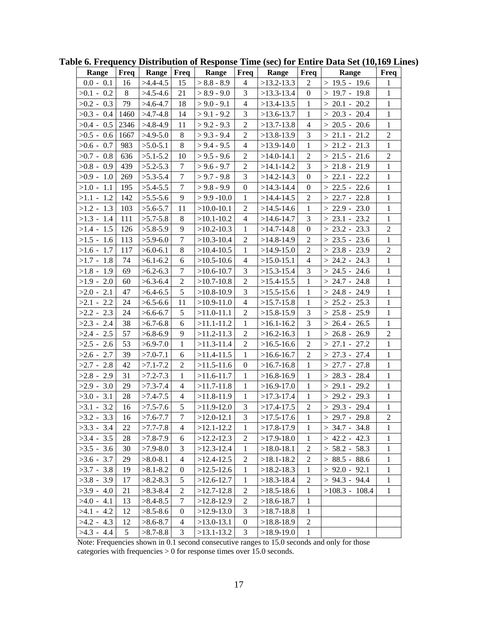| Range        | Freq | Range        | Freq           | Range          | Freq             | Range          | Freq             | Range            | Freq           |
|--------------|------|--------------|----------------|----------------|------------------|----------------|------------------|------------------|----------------|
| $0.0 - 0.1$  | 16   | $>4.4-4.5$   | 15             | $> 8.8 - 8.9$  | 4                | $>13.2-13.3$   | $\overline{2}$   | $> 19.5 - 19.6$  | $\mathbf{1}$   |
| $>0.1 - 0.2$ | 8    | $>4.5 - 4.6$ | 21             | $> 8.9 - 9.0$  | 3                | $>13.3-13.4$   | $\mathbf{0}$     | $>19.7 - 19.8$   | $\mathbf{1}$   |
| $>0.2 - 0.3$ | 79   | $>4.6 - 4.7$ | 18             | $> 9.0 - 9.1$  | $\overline{4}$   | $>13.4-13.5$   | $\mathbf{1}$     | $> 20.1 - 20.2$  | $\mathbf{1}$   |
| $>0.3 - 0.4$ | 1460 | $>4.7-4.8$   | 14             | $> 9.1 - 9.2$  | 3                | $>13.6-13.7$   | $\mathbf{1}$     | $> 20.3 - 20.4$  | $\mathbf{1}$   |
| $>0.4 - 0.5$ | 2346 | $>4.8-4.9$   | 11             | $> 9.2 - 9.3$  | $\overline{2}$   | $>13.7-13.8$   | $\overline{4}$   | $> 20.5 - 20.6$  | $\mathbf{1}$   |
| $>0.5 - 0.6$ | 1667 | $>4.9-5.0$   | 8              | $> 9.3 - 9.4$  | $\mathfrak{2}$   | $>13.8-13.9$   | 3                | $> 21.1 - 21.2$  | $\overline{2}$ |
| $>0.6 - 0.7$ | 983  | $>5.0-5.1$   | 8              | $> 9.4 - 9.5$  | $\overline{4}$   | $>13.9-14.0$   | $\mathbf{1}$     | $> 21.2 - 21.3$  | $\mathbf{1}$   |
| $>0.7 - 0.8$ | 636  | $>5.1 - 5.2$ | 10             | $> 9.5 - 9.6$  | $\overline{2}$   | $>14.0 - 14.1$ | $\overline{2}$   | $> 21.5 - 21.6$  | $\overline{2}$ |
| $>0.8 - 0.9$ | 439  | $>5.2 - 5.3$ | $\tau$         | $> 9.6 - 9.7$  | $\overline{2}$   | $>14.1 - 14.2$ | $\mathfrak{Z}$   | $> 21.8 - 21.9$  | $\mathbf{1}$   |
| $>0.9 - 1.0$ | 269  | $>5.3 - 5.4$ | $\tau$         | $> 9.7 - 9.8$  | 3                | $>14.2 - 14.3$ | $\boldsymbol{0}$ | $> 22.1 - 22.2$  | $\mathbf{1}$   |
| $>1.0 - 1.1$ | 195  | $>5.4 - 5.5$ | $\tau$         | $> 9.8 - 9.9$  | $\boldsymbol{0}$ | $>14.3 - 14.4$ | $\boldsymbol{0}$ | $> 22.5 - 22.6$  | $\mathbf{1}$   |
| $>1.1 - 1.2$ | 142  | $>5.5-5.6$   | 9              | $>$ 9.9 -10.0  | 1                | $>14.4 - 14.5$ | $\overline{2}$   | $> 22.7 - 22.8$  | $\mathbf{1}$   |
| $>1.2 - 1.3$ | 103  | $>5.6 - 5.7$ | 11             | $>10.0 - 10.1$ | $\overline{2}$   | $>14.5 - 14.6$ | $\mathbf{1}$     | $> 22.9 - 23.0$  | $\mathbf{1}$   |
| $>1.3 - 1.4$ | 111  | $>5.7 - 5.8$ | 8              | $>10.1 - 10.2$ | $\overline{4}$   | $>14.6 - 14.7$ | 3                | $> 23.1 - 23.2$  | $\mathbf{1}$   |
| $>1.4 - 1.5$ | 126  | $>5.8-5.9$   | 9              | $>10.2 - 10.3$ | $\mathbf{1}$     | $>14.7 - 14.8$ | $\mathbf{0}$     | $> 23.2 - 23.3$  | $\overline{c}$ |
| $>1.5 - 1.6$ | 113  | $>5.9-6.0$   | $\tau$         | $>10.3 - 10.4$ | $\mathfrak{2}$   | $>14.8-14.9$   | $\overline{2}$   | $> 23.5 - 23.6$  | $\mathbf{1}$   |
| $>1.6 - 1.7$ | 117  | $>6.0 - 6.1$ | 8              | $>10.4 - 10.5$ | $\mathbf{1}$     | $>14.9-15.0$   | $\overline{2}$   | $> 23.8 - 23.9$  | $\overline{2}$ |
| $>1.7 - 1.8$ | 74   | $>6.1 - 6.2$ | 6              | $>10.5 - 10.6$ | $\overline{4}$   | $>15.0 - 15.1$ | $\overline{4}$   | $> 24.2 - 24.3$  | $\mathbf{1}$   |
| $>1.8 - 1.9$ | 69   | $>6.2 - 6.3$ | 7              | $>10.6 - 10.7$ | 3                | $>15.3 - 15.4$ | 3                | $> 24.5 - 24.6$  | $\mathbf{1}$   |
| $>1.9 - 2.0$ | 60   | $>6.3 - 6.4$ | $\overline{2}$ | $>10.7-10.8$   | $\overline{2}$   | $>15.4 - 15.5$ | $\mathbf{1}$     | $> 24.7 - 24.8$  | $\mathbf{1}$   |
| $>2.0 - 2.1$ | 47   | $>6.4-6.5$   | 5              | $>10.8-10.9$   | 3                | $>15.5 - 15.6$ | $\mathbf{1}$     | $> 24.8 - 24.9$  | $\mathbf{1}$   |
| $>2.1 - 2.2$ | 24   | $>6.5 - 6.6$ | 11             | $>10.9 - 11.0$ | $\overline{4}$   | $>15.7 - 15.8$ | $\mathbf{1}$     | $> 25.2 - 25.3$  | $\mathbf{1}$   |
| $>2.2 - 2.3$ | 24   | $>6.6 - 6.7$ | 5              | $>11.0-11.1$   | $\overline{2}$   | $>15.8-15.9$   | 3                | $> 25.8 - 25.9$  | $\mathbf{1}$   |
| $>2.3 - 2.4$ | 38   | $>6.7 - 6.8$ | 6              | $>11.1-11.2$   | $\mathbf{1}$     | $>16.1 - 16.2$ | $\overline{3}$   | $> 26.4 - 26.5$  | $\mathbf{1}$   |
| $>2.4 - 2.5$ | 57   | $>6.8-6.9$   | 9              | $>11.2 - 11.3$ | $\overline{2}$   | $>16.2 - 16.3$ | 1                | $> 26.8 - 26.9$  | $\overline{2}$ |
| $>2.5 - 2.6$ | 53   | $>6.9 - 7.0$ | 1              | $>11.3-11.4$   | 2                | $>16.5-16.6$   | $\overline{2}$   | $> 27.1 - 27.2$  | 1              |
| $>2.6 - 2.7$ | 39   | $>7.0 - 7.1$ | 6              | $>11.4-11.5$   | $\mathbf{1}$     | $>16.6 - 16.7$ | $\overline{2}$   | $> 27.3 - 27.4$  | $\mathbf{1}$   |
| $>2.7 - 2.8$ | 42   | $>7.1 - 7.2$ | 2              | $>11.5-11.6$   | $\boldsymbol{0}$ | $>16.7-16.8$   | $\mathbf{1}$     | $> 27.7 - 27.8$  | $\mathbf{1}$   |
| $>2.8 - 2.9$ | 31   | $>7.2 - 7.3$ | $\mathbf{1}$   | $>11.6-11.7$   | 1                | $>16.8-16.9$   | 1                | $> 28.3 - 28.4$  | $\mathbf{1}$   |
| $>2.9 - 3.0$ | 29   | $>7.3 - 7.4$ | $\overline{4}$ | $>11.7-11.8$   | $\mathbf{1}$     | $>16.9-17.0$   | $\mathbf{1}$     | $> 29.1 - 29.2$  | $\mathbf{1}$   |
| $>3.0 - 3.1$ | 28   | $>7.4 - 7.5$ | $\overline{4}$ | $>11.8-11.9$   | $\mathbf{1}$     | $>17.3 - 17.4$ | $\mathbf{1}$     | $> 29.2 - 29.3$  | $\mathbf{1}$   |
| $>3.1 - 3.2$ | 16   | $>7.5 - 7.6$ | 5              | $>11.9-12.0$   | 3                | $>17.4 - 17.5$ | $\overline{2}$   | $> 29.3 - 29.4$  | $1\,$          |
| $>3.2 - 3.3$ | 16   | $>7.6 - 7.7$ | $\overline{7}$ | $>12.0 - 12.1$ | $\overline{3}$   | $>17.5 - 17.6$ | $\perp$          | $> 29.7 - 29.8$  | 2              |
| $>3.3 - 3.4$ | 22   | $>7.7 - 7.8$ | 4              | $>12.1 - 12.2$ | $\mathbf{1}$     | $>17.8-17.9$   | 1                | $> 34.7 - 34.8$  | 1              |
| $>3.4 - 3.5$ | 28   | $>7.8 - 7.9$ | 6              | $>12.2 - 12.3$ | 2                | $>17.9-18.0$   | $\mathbf{1}$     | $> 42.2 - 42.3$  | $\mathbf{1}$   |
| $>3.5 - 3.6$ | 30   | $>7.9 - 8.0$ | 3              | $>12.3-12.4$   | $\mathbf{1}$     | $>18.0 - 18.1$ | 2                | $> 58.2 - 58.3$  | 1              |
| $>3.6 - 3.7$ | 29   | $>8.0-8.1$   | 4              | $>12.4 - 12.5$ | $\overline{2}$   | $>18.1 - 18.2$ | $\overline{c}$   | $> 88.5 - 88.6$  | 1              |
| $>3.7 - 3.8$ | 19   | $>8.1 - 8.2$ | $\theta$       | $>12.5-12.6$   | 1                | $>18.2 - 18.3$ | 1                | $> 92.0 - 92.1$  | 1              |
| $>3.8 - 3.9$ | 17   | $>8.2 - 8.3$ | 5              | $>12.6 - 12.7$ | $\mathbf{1}$     | $>18.3 - 18.4$ | 2                | $> 94.3 - 94.4$  | $\mathbf{1}$   |
| $>3.9 - 4.0$ | 21   | $>8.3-8.4$   | 2              | $>12.7-12.8$   | $\overline{c}$   | $>18.5-18.6$   | 1                | $>108.3 - 108.4$ | 1              |
| $>4.0 - 4.1$ | 13   | $>8.4-8.5$   | 7              | $>12.8-12.9$   | 2                | $>18.6 - 18.7$ | $\mathbf{1}$     |                  |                |
| $>4.1 - 4.2$ | 12   | $>8.5-8.6$   | $\theta$       | $>12.9-13.0$   | 3                | $>18.7 - 18.8$ | 1                |                  |                |
| $>4.2 - 4.3$ | 12   | $>8.6 - 8.7$ | 4              | $>13.0-13.1$   | $\boldsymbol{0}$ | $>18.8-18.9$   | 2                |                  |                |
| $>4.3 - 4.4$ | 5    | $>8.7 - 8.8$ | 3              | $>13.1-13.2$   | 3                | $>18.9-19.0$   | 1                |                  |                |

<span id="page-23-0"></span>**Table 6. Frequency Distribution of Response Time (sec) for Entire Data Set (10,169 Lines)** 

Note: Frequencies shown in 0.1 second consecutive ranges to 15.0 seconds and only for those categories with frequencies > 0 for response times over 15.0 seconds.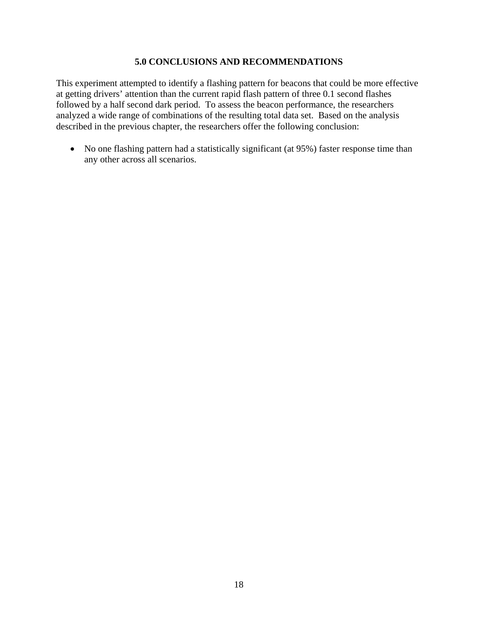#### **5.0 CONCLUSIONS AND RECOMMENDATIONS**

<span id="page-24-0"></span>This experiment attempted to identify a flashing pattern for beacons that could be more effective at getting drivers' attention than the current rapid flash pattern of three 0.1 second flashes followed by a half second dark period. To assess the beacon performance, the researchers analyzed a wide range of combinations of the resulting total data set. Based on the analysis described in the previous chapter, the researchers offer the following conclusion:

• No one flashing pattern had a statistically significant (at 95%) faster response time than any other across all scenarios.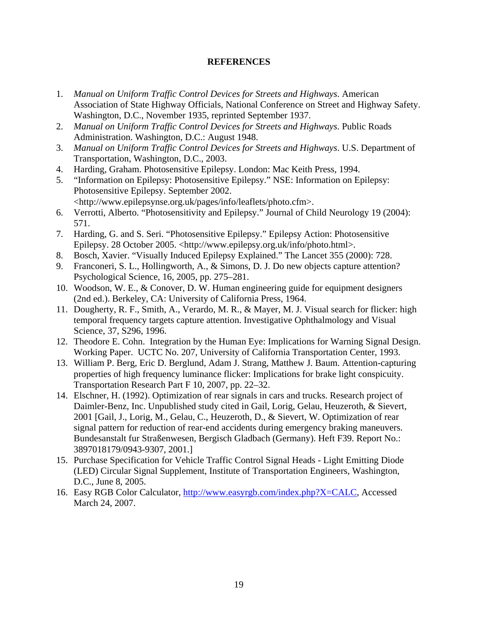#### **REFERENCES**

- <span id="page-25-0"></span>1. *Manual on Uniform Traffic Control Devices for Streets and Highways*. American Association of State Highway Officials, National Conference on Street and Highway Safety. Washington, D.C., November 1935, reprinted September 1937.
- 2. *Manual on Uniform Traffic Control Devices for Streets and Highways*. Public Roads Administration. Washington, D.C.: August 1948.
- 3. *Manual on Uniform Traffic Control Devices for Streets and Highways*. U.S. Department of Transportation, Washington, D.C., 2003.
- 4. Harding, Graham. Photosensitive Epilepsy. London: Mac Keith Press, 1994.
- 5. "Information on Epilepsy: Photosensitive Epilepsy." NSE: Information on Epilepsy: Photosensitive Epilepsy. September 2002. <http://www.epilepsynse.org.uk/pages/info/leaflets/photo.cfm>.
- 6. Verrotti, Alberto. "Photosensitivity and Epilepsy." Journal of Child Neurology 19 (2004): 571.
- 7. Harding, G. and S. Seri. "Photosensitive Epilepsy." Epilepsy Action: Photosensitive Epilepsy. 28 October 2005. <http://www.epilepsy.org.uk/info/photo.html>.
- 8. Bosch, Xavier. "Visually Induced Epilepsy Explained." The Lancet 355 (2000): 728.
- 9. Franconeri, S. L., Hollingworth, A., & Simons, D. J. Do new objects capture attention? Psychological Science, 16, 2005, pp. 275–281.
- 10. Woodson, W. E., & Conover, D. W. Human engineering guide for equipment designers (2nd ed.). Berkeley, CA: University of California Press, 1964.
- 11. Dougherty, R. F., Smith, A., Verardo, M. R., & Mayer, M. J. Visual search for flicker: high temporal frequency targets capture attention. Investigative Ophthalmology and Visual Science, 37, S296, 1996.
- 12. Theodore E. Cohn. Integration by the Human Eye: Implications for Warning Signal Design. Working Paper. UCTC No. 207, University of California Transportation Center, 1993.
- 13. William P. Berg, Eric D. Berglund, Adam J. Strang, Matthew J. Baum. Attention-capturing properties of high frequency luminance flicker: Implications for brake light conspicuity. Transportation Research Part F 10, 2007, pp. 22–32.
- 14. Elschner, H. (1992). Optimization of rear signals in cars and trucks. Research project of Daimler-Benz, Inc. Unpublished study cited in Gail, Lorig, Gelau, Heuzeroth, & Sievert, 2001 [Gail, J., Lorig, M., Gelau, C., Heuzeroth, D., & Sievert, W. Optimization of rear signal pattern for reduction of rear-end accidents during emergency braking maneuvers. Bundesanstalt fur Straßenwesen, Bergisch Gladbach (Germany). Heft F39. Report No.: 3897018179/0943-9307, 2001.]
- 15. Purchase Specification for Vehicle Traffic Control Signal Heads Light Emitting Diode (LED) Circular Signal Supplement, Institute of Transportation Engineers, Washington, D.C., June 8, 2005.
- 16. Easy RGB Color Calculator, <http://www.easyrgb.com/index.php?X=CALC>, Accessed March 24, 2007.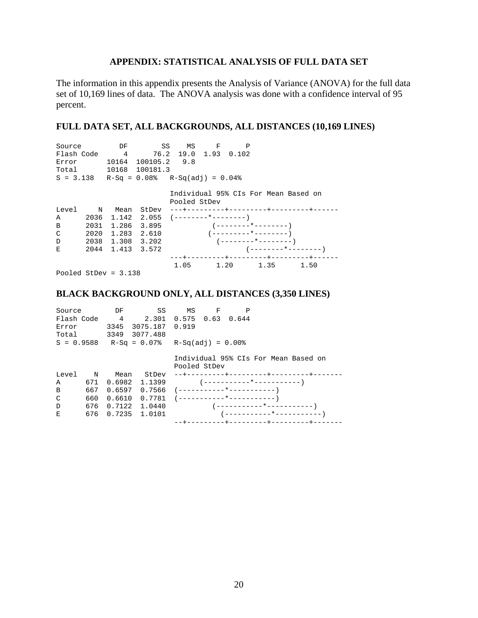## **APPENDIX: STATISTICAL ANALYSIS OF FULL DATA SET**

<span id="page-26-0"></span>The information in this appendix presents the Analysis of Variance (ANOVA) for the full data set of 10,169 lines of data. The ANOVA analysis was done with a confidence interval of 95 percent.

## **FULL DATA SET, ALL BACKGROUNDS, ALL DISTANCES (10,169 LINES)**

| Source                                     |             | DF              | SS                                       |                      | MS F | P |      |                                      |  |
|--------------------------------------------|-------------|-----------------|------------------------------------------|----------------------|------|---|------|--------------------------------------|--|
| Flash Code                                 |             | $4\overline{ }$ |                                          | 76.2 19.0 1.93 0.102 |      |   |      |                                      |  |
| Error                                      |             |                 | 10164 100105.2 9.8                       |                      |      |   |      |                                      |  |
| Total Total                                |             |                 | 10168 100181.3                           |                      |      |   |      |                                      |  |
| $S = 3.138$ R-Sq = 0.08% R-Sq(adj) = 0.04% |             |                 |                                          |                      |      |   |      |                                      |  |
|                                            |             |                 |                                          |                      |      |   |      |                                      |  |
|                                            |             |                 |                                          |                      |      |   |      | Individual 95% CIs For Mean Based on |  |
|                                            |             |                 |                                          | Pooled StDev         |      |   |      |                                      |  |
| Level                                      | $\mathbb N$ | Mean            | StDev                                    |                      |      |   |      | ---+---------+---------+--------+--- |  |
| A                                          | 2036        |                 | $1.142 \quad 2.055 \quad (------+-----)$ |                      |      |   |      |                                      |  |
| B                                          | 2031        |                 |                                          |                      |      |   |      |                                      |  |
| C                                          | 2020        |                 | 1.283 2.610                              |                      |      |   |      |                                      |  |
| D                                          | 2038        |                 | 1.308 3.202                              |                      |      |   |      |                                      |  |
| E                                          | 2044        |                 | 1.413 3.572                              |                      |      |   |      |                                      |  |
|                                            |             |                 |                                          |                      |      |   |      | ---+---------+----------+-------+-   |  |
|                                            |             |                 |                                          | 1.05                 | 1.20 |   | 1.35 | 1.50                                 |  |
|                                            |             |                 |                                          |                      |      |   |      |                                      |  |

Pooled StDev = 3.138

#### **BLACK BACKGROUND ONLY, ALL DISTANCES (3,350 LINES)**

| DF<br>SS<br>Source<br>4<br>2.301 0.575 0.63 0.644<br>Flash Code<br>3075.187<br>3345<br>Error<br>3077.488<br>Total 3349<br>$S = 0.9588$ R-Sq = 0.07% R-Sq(adj) = 0.00% |             |                   | МS<br>0.919 | F            | P |  |                                      |
|-----------------------------------------------------------------------------------------------------------------------------------------------------------------------|-------------|-------------------|-------------|--------------|---|--|--------------------------------------|
|                                                                                                                                                                       |             |                   |             | Pooled StDev |   |  | Individual 95% CIs For Mean Based on |
| Level                                                                                                                                                                 | $\mathbf N$ | Mean              | StDev       |              |   |  |                                      |
| A                                                                                                                                                                     | 671         | 0.6982 1.1399     |             |              |   |  | ( -----------*----------- )          |
| B                                                                                                                                                                     | 667         | 0.6597            | 0.7566      |              |   |  |                                      |
| C                                                                                                                                                                     | 660         | 0.6610            |             |              |   |  |                                      |
| D                                                                                                                                                                     | 676         | 0.7122            | 1.0440      |              |   |  |                                      |
| E.                                                                                                                                                                    |             | 676 0.7235 1.0101 |             |              |   |  |                                      |
|                                                                                                                                                                       |             |                   |             |              |   |  | --+---------+---------+--------+---  |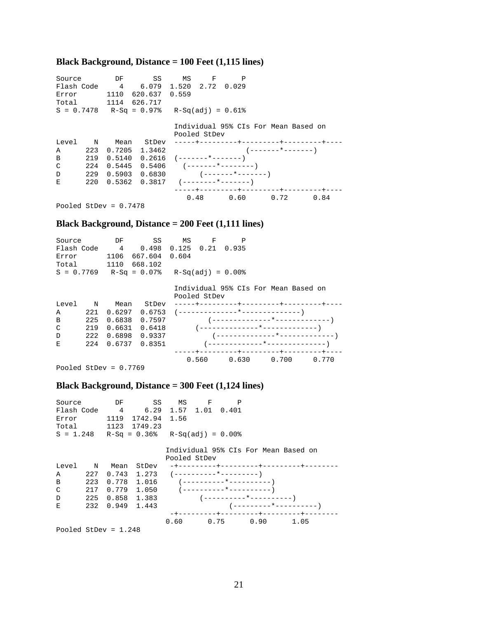## **Black Background, Distance = 100 Feet (1,115 lines)**

| Source       |             | DF                                          | SS SS              | MS | - F          | P                                     |                                             |      |  |
|--------------|-------------|---------------------------------------------|--------------------|----|--------------|---------------------------------------|---------------------------------------------|------|--|
|              |             | Flash Code 4 6.079 1.520 2.72 0.029         |                    |    |              |                                       |                                             |      |  |
| Error        |             |                                             | 1110 620.637 0.559 |    |              |                                       |                                             |      |  |
|              |             | Total 1114 626.717                          |                    |    |              |                                       |                                             |      |  |
|              |             | $S = 0.7478$ R-Sq = 0.97% R-Sq(adj) = 0.61% |                    |    |              |                                       |                                             |      |  |
|              |             |                                             |                    |    |              |                                       |                                             |      |  |
|              |             |                                             |                    |    |              |                                       | Individual 95% CIs For Mean Based on        |      |  |
|              |             |                                             |                    |    | Pooled StDev |                                       |                                             |      |  |
| Level        | $\mathbf N$ | Mean                                        | StDev              |    |              |                                       |                                             |      |  |
| A            |             |                                             |                    |    |              |                                       | $223 \t 0.7205 \t 1.3462$ (-------*-------) |      |  |
| B            |             | $219$ 0.5140 0.2616 (-------*-------)       |                    |    |              |                                       |                                             |      |  |
| C            | 224         | 0.5445                                      |                    |    |              | $0.5406$ $(-----+-----$               |                                             |      |  |
| $\mathbb{D}$ |             |                                             |                    |    |              | $229$ 0.5903 0.6830 (-------*-------) |                                             |      |  |
| E            |             | $220$ 0.5362 0.3817 (--------*-------)      |                    |    |              |                                       |                                             |      |  |
|              |             |                                             |                    |    |              |                                       | -----+---------+---------+--------+-        |      |  |
|              |             |                                             |                    |    |              |                                       | $0.48$ 0.60 0.72                            | 0.84 |  |
|              |             |                                             |                    |    |              |                                       |                                             |      |  |

Pooled StDev = 0.7478

#### **Black Background, Distance = 200 Feet (1,111 lines)**

| Source       |             | DF             | SS            | ΜS             | F                   | P     |                                      |       |
|--------------|-------------|----------------|---------------|----------------|---------------------|-------|--------------------------------------|-------|
| Flash Code   |             | $\overline{4}$ | 0.498         | $0.125$ $0.21$ |                     | 0.935 |                                      |       |
| Error        |             | 1106           | 667.604       | 0.604          |                     |       |                                      |       |
| Total        |             | 1110           | 668.102       |                |                     |       |                                      |       |
| $S = 0.7769$ |             |                | $R-Sq = 0.07$ |                | $R-Sq(adi) = 0.00%$ |       |                                      |       |
|              |             |                |               |                | Pooled StDev        |       | Individual 95% CIs For Mean Based on |       |
| Level        | $\mathbf N$ | Mean           | StDev         |                |                     |       | -----+---------+---------+---------+ |       |
| A            | 221         | 0.6297         | 0.6753        |                |                     |       |                                      |       |
| B            | 225         | 0.6838         | 0.7597        |                |                     |       |                                      |       |
| C            | 219         | 0.6631         | 0.6418        |                |                     |       |                                      |       |
| D            | 222         | 0.6898         | 0.9337        |                |                     |       |                                      |       |
| E            | 224         | 0.6737         | 0.8351        |                |                     |       |                                      |       |
|              |             |                |               |                |                     |       | +---------+---------+--------+-      |       |
|              |             |                |               |                | 0.560               | 0.630 | 0.700                                | 0.770 |

Pooled StDev = 0.7769

#### **Black Background, Distance = 300 Feet (1,124 lines)**

| Source       |     |                 | DF SS                                                |              | MS F | P |                                               |                                        |
|--------------|-----|-----------------|------------------------------------------------------|--------------|------|---|-----------------------------------------------|----------------------------------------|
| Flash Code   |     |                 | 4   6.29   1.57   1.01   0.401                       |              |      |   |                                               |                                        |
| Error        |     | 1119            | 1742.94 1.56                                         |              |      |   |                                               |                                        |
|              |     |                 | Total 1123 1749.23                                   |              |      |   |                                               |                                        |
|              |     |                 | $S = 1.248$ R-Sq = 0.36% R-Sq(adj) = 0.00%           |              |      |   |                                               |                                        |
|              |     |                 |                                                      | Pooled StDev |      |   |                                               | Individual 95% CIs For Mean Based on   |
| Level N Mean |     |                 | StDev                                                |              |      |   |                                               | -+---------+---------+-------+-----    |
| Α            |     |                 | $227 \quad 0.743 \quad 1.273 \quad (-------*------)$ |              |      |   |                                               |                                        |
| B            |     |                 | $223 \t 0.778 \t 1.016 \t (-------*------")$         |              |      |   |                                               |                                        |
| C            |     |                 | $217$ 0.779 1.050 (---------*---------------         |              |      |   |                                               |                                        |
| D            | 225 |                 |                                                      |              |      |   | $0.858 \quad 1.383 \quad (-----+-----+-----)$ |                                        |
| E            |     | 232 0.949 1.443 |                                                      |              |      |   |                                               |                                        |
|              |     |                 |                                                      |              |      |   |                                               | -+---------+---------+---------+------ |
|              |     |                 |                                                      |              |      |   | $0.60 \t 0.75 \t 0.90$                        | 1.05                                   |

Pooled StDev = 1.248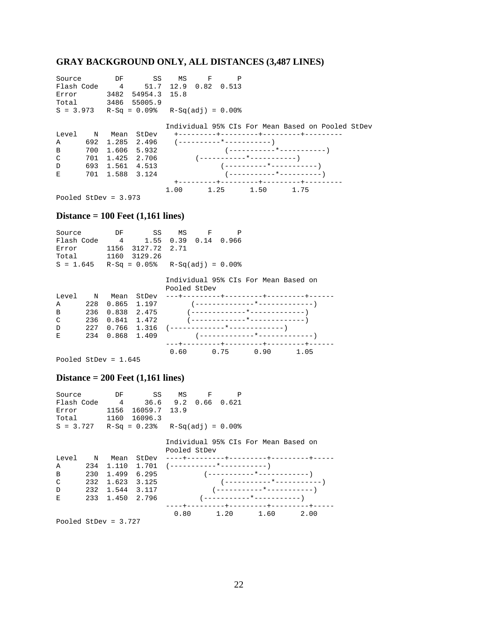## **GRAY BACKGROUND ONLY, ALL DISTANCES (3,487 LINES)**

| Source                 |     | DF   | SS                                         | MS | $\mathbf{F}$ | P |                                |                                                   |  |
|------------------------|-----|------|--------------------------------------------|----|--------------|---|--------------------------------|---------------------------------------------------|--|
| Flash Code             |     |      | 4 51.7 12.9 0.82 0.513                     |    |              |   |                                |                                                   |  |
| Error                  |     | 3482 | 54954.3 15.8                               |    |              |   |                                |                                                   |  |
| Total                  |     |      | 3486 55005.9                               |    |              |   |                                |                                                   |  |
|                        |     |      | $S = 3.973$ R-Sq = 0.09% R-Sq(adj) = 0.00% |    |              |   |                                |                                                   |  |
|                        |     |      |                                            |    |              |   |                                |                                                   |  |
|                        |     |      |                                            |    |              |   |                                | Individual 95% CIs For Mean Based on Pooled StDev |  |
| Level N Mean           |     |      | StDev                                      |    |              |   | +---------+---------+-------+- |                                                   |  |
| $\mathbb A$            |     |      | 692 1.285 2.496                            |    |              |   |                                |                                                   |  |
| B                      |     |      | 700 1.606 5.932                            |    |              |   |                                |                                                   |  |
| C                      | 701 |      | 1.425 2.706                                |    |              |   |                                |                                                   |  |
| D                      |     |      | 693 1.561 4.513                            |    |              |   |                                |                                                   |  |
| E.                     |     |      | 701 1.588 3.124                            |    |              |   |                                | ( -----------*----------- )                       |  |
|                        |     |      |                                            |    |              |   |                                |                                                   |  |
|                        |     |      |                                            |    |              |   | $1.00 \t 1.25 \t 1.50 \t 1.75$ |                                                   |  |
| Pooled StDev = $3.973$ |     |      |                                            |    |              |   |                                |                                                   |  |

#### **Distance = 100 Feet (1,161 lines)**

| Source      |             | DF            | SS                                         | MS              | $\mathbf{F}$ | P |                                      |      |  |
|-------------|-------------|---------------|--------------------------------------------|-----------------|--------------|---|--------------------------------------|------|--|
| Flash Code  |             |               | 4 1.55                                     | 0.39 0.14 0.966 |              |   |                                      |      |  |
| Error       |             | 1156          | 3127.72                                    | 2.71            |              |   |                                      |      |  |
| Total 1160  |             |               | 3129.26                                    |                 |              |   |                                      |      |  |
|             |             |               | $S = 1.645$ R-Sq = 0.05% R-Sq(adj) = 0.00% |                 |              |   |                                      |      |  |
|             |             |               |                                            |                 |              |   |                                      |      |  |
|             |             |               |                                            |                 |              |   | Individual 95% CIs For Mean Based on |      |  |
|             |             |               |                                            | Pooled StDev    |              |   |                                      |      |  |
| Level       | $\mathbb N$ | Mean          | StDev                                      |                 |              |   | ---+---------+---------+-------+-    |      |  |
| $\mathbb A$ | 228         |               | $0.865$ 1.197                              |                 |              |   |                                      |      |  |
| B           | 236         |               | $0.838$ 2.475                              |                 |              |   |                                      |      |  |
| C           | 236         |               | $0.841$ 1.472                              |                 |              |   |                                      |      |  |
| D           | 227         |               |                                            |                 |              |   |                                      |      |  |
| E.          | 234         | $0.868$ 1.409 |                                            |                 |              |   |                                      |      |  |
|             |             |               |                                            |                 |              |   | -+---------+---------+--------+--    |      |  |
|             |             |               |                                            | 0.60            |              |   | $0.75$ 0.90                          | 1.05 |  |

Pooled StDev = 1.645

#### **Distance = 200 Feet (1,161 lines)**

| Source      | DF | SS                                   | M.S                 | $\mathbf{F}$ |  |
|-------------|----|--------------------------------------|---------------------|--------------|--|
| Flash Code  |    | 4                                    | 36.6 9.2 0.66 0.621 |              |  |
| Error       |    | 1156 16059.7 13.9                    |                     |              |  |
| Total       |    | 1160 16096.3                         |                     |              |  |
| $S = 3.727$ |    | $R-Sq = 0.23$ % $R-Sq(adj) = 0.00$ % |                     |              |  |

 Individual 95% CIs For Mean Based on Pooled StDev

|              | B 230 1.499 6.295                 |  | ( -----------*------------ )         |  |  |
|--------------|-----------------------------------|--|--------------------------------------|--|--|
|              | $C = 232 \quad 1.623 \quad 3.125$ |  |                                      |  |  |
| $\mathbf{D}$ | 232 1.544 3.117                   |  |                                      |  |  |
|              | E 233 1.450 2.796                 |  |                                      |  |  |
|              |                                   |  | ----+---------+----------+-------+-- |  |  |
|              |                                   |  | $0.80 \t 1.20 \t 1.60 \t 2.00$       |  |  |

Pooled StDev = 3.727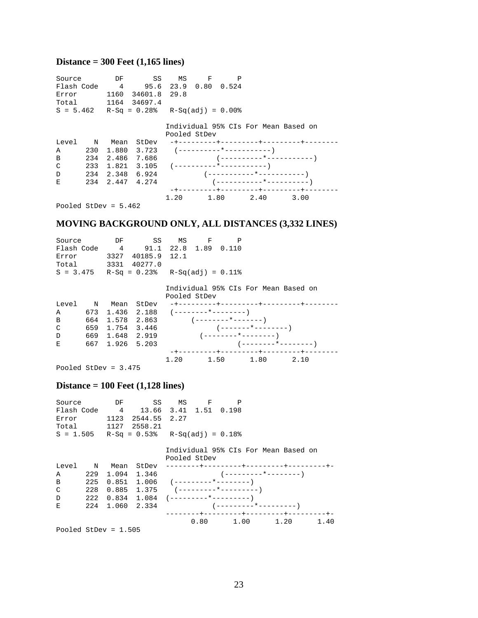## **Distance = 300 Feet (1,165 lines)**

| Source                 |                 | DF SS                                                 |              | MS F | P |                                      |                                      |  |
|------------------------|-----------------|-------------------------------------------------------|--------------|------|---|--------------------------------------|--------------------------------------|--|
|                        |                 | Flash Code 4 95.6 23.9 0.80 0.524                     |              |      |   |                                      |                                      |  |
|                        |                 | Error 1160 34601.8 29.8                               |              |      |   |                                      |                                      |  |
|                        |                 | Total 1164 34697.4                                    |              |      |   |                                      |                                      |  |
|                        |                 | $S = 5.462$ R-Sq = 0.28% R-Sq(adj) = 0.00%            |              |      |   |                                      |                                      |  |
|                        |                 |                                                       |              |      |   |                                      |                                      |  |
|                        |                 |                                                       |              |      |   | Individual 95% CIs For Mean Based on |                                      |  |
|                        |                 |                                                       | Pooled StDev |      |   |                                      |                                      |  |
| Level N Mean           |                 | StDev                                                 |              |      |   |                                      | -+---------+---------+-------+------ |  |
| Α                      |                 | $230 \quad 1.880 \quad 3.723 \quad (-------*------")$ |              |      |   |                                      |                                      |  |
| B                      |                 | 234 2.486 7.686                                       |              |      |   | $(-------+--+------)$                |                                      |  |
| C                      |                 | $233 \quad 1.821 \quad 3.105 \quad (-------*------")$ |              |      |   |                                      |                                      |  |
| D                      |                 | 234 2.348 6.924                                       |              |      |   |                                      |                                      |  |
| E                      | 234 2.447 4.274 |                                                       |              |      |   |                                      |                                      |  |
|                        |                 |                                                       |              |      |   |                                      |                                      |  |
|                        |                 |                                                       | 1.20         |      |   | 1.80 2.40                            | 3.00                                 |  |
| Pooled StDev = $5.462$ |                 |                                                       |              |      |   |                                      |                                      |  |

## **MOVING BACKGROUND ONLY, ALL DISTANCES (3,332 LINES)**

| Source | DF              | SS                                         | MS           | $\mathbf{F}$ |                      |                                        |  |
|--------|-----------------|--------------------------------------------|--------------|--------------|----------------------|----------------------------------------|--|
|        |                 | Flash Code 4 91.1 22.8 1.89 0.110          |              |              |                      |                                        |  |
| Error  |                 | 3327 40185.9 12.1                          |              |              |                      |                                        |  |
|        |                 | Total 3331 40277.0                         |              |              |                      |                                        |  |
|        |                 | $S = 3.475$ R-Sq = 0.23% R-Sq(adj) = 0.11% |              |              |                      |                                        |  |
|        |                 |                                            |              |              |                      | Individual 95% CIs For Mean Based on   |  |
|        |                 |                                            | Pooled StDev |              |                      |                                        |  |
|        | Level N Mean    | StDev                                      |              |              |                      | -+---------+---------+-------+-----    |  |
| Α      |                 | $673$ 1.436 2.188 $(----+---+---)$         |              |              |                      |                                        |  |
| B      |                 | $664$ 1.578 2.863 (-------*-------)        |              |              |                      |                                        |  |
| C      | 659 1.754 3.446 |                                            |              |              | $(------+------)$    |                                        |  |
| D      | 669 1.648 2.919 |                                            |              |              |                      |                                        |  |
| E      | 667 1.926 5.203 |                                            |              |              |                      |                                        |  |
|        |                 |                                            |              |              |                      | -+---------+---------+---------+------ |  |
|        |                 |                                            | 1.20         |              | $1.50$ $1.80$ $2.10$ |                                        |  |
|        |                 |                                            |              |              |                      |                                        |  |

Pooled StDev = 3.475

#### **Distance = 100 Feet (1,128 lines)**

| Source<br>Error        |     |                 | DF SS MS F<br>Flash Code 4 13.66 3.41 1.51 0.198<br>1123 2544.55 2.27<br>Total 1127 2558.21 |              | P |                                         |  |
|------------------------|-----|-----------------|---------------------------------------------------------------------------------------------|--------------|---|-----------------------------------------|--|
|                        |     |                 | $S = 1.505$ R-Sq = 0.53% R-Sq(adj) = 0.18%                                                  |              |   |                                         |  |
|                        |     |                 |                                                                                             | Pooled StDev |   | Individual 95% CIs For Mean Based on    |  |
| Level N                |     | Mean            |                                                                                             |              |   |                                         |  |
| A                      | 229 |                 |                                                                                             |              |   |                                         |  |
| B                      | 225 |                 | $0.851 \quad 1.006 \quad (-------*------)$                                                  |              |   |                                         |  |
| C                      | 228 |                 |                                                                                             |              |   |                                         |  |
| D                      | 222 |                 | $0.834$ 1.084 $(-------*------)$                                                            |              |   |                                         |  |
| E                      |     | 224 1.060 2.334 |                                                                                             |              |   |                                         |  |
|                        |     |                 |                                                                                             |              |   | --------+---------+---------+--------+- |  |
|                        |     |                 |                                                                                             |              |   | $0.80 \t 1.00 \t 1.20 \t 1.40$          |  |
| Pooled StDev = $1.505$ |     |                 |                                                                                             |              |   |                                         |  |

23